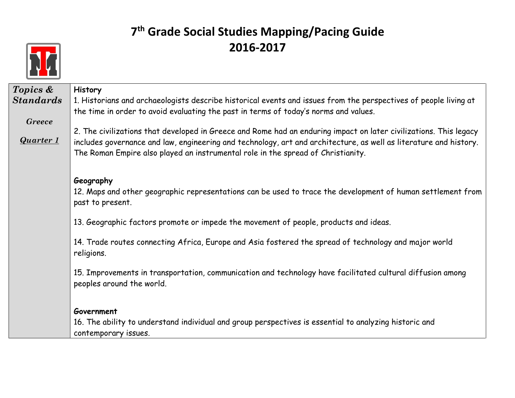

| Topics &         | <b>History</b>                                                                                                    |
|------------------|-------------------------------------------------------------------------------------------------------------------|
| <b>Standards</b> | 1. Historians and archaeologists describe historical events and issues from the perspectives of people living at  |
|                  | the time in order to avoid evaluating the past in terms of today's norms and values.                              |
| <b>Greece</b>    |                                                                                                                   |
|                  | 2. The civilizations that developed in Greece and Rome had an enduring impact on later civilizations. This legacy |
| <b>Quarter 1</b> | includes governance and law, engineering and technology, art and architecture, as well as literature and history. |
|                  | The Roman Empire also played an instrumental role in the spread of Christianity.                                  |
|                  |                                                                                                                   |
|                  | Geography                                                                                                         |
|                  | 12. Maps and other geographic representations can be used to trace the development of human settlement from       |
|                  | past to present.                                                                                                  |
|                  |                                                                                                                   |
|                  | 13. Geographic factors promote or impede the movement of people, products and ideas.                              |
|                  | 14. Trade routes connecting Africa, Europe and Asia fostered the spread of technology and major world             |
|                  | religions.                                                                                                        |
|                  |                                                                                                                   |
|                  | 15. Improvements in transportation, communication and technology have facilitated cultural diffusion among        |
|                  | peoples around the world.                                                                                         |
|                  |                                                                                                                   |
|                  | Government                                                                                                        |
|                  | 16. The ability to understand individual and group perspectives is essential to analyzing historic and            |
|                  | contemporary issues.                                                                                              |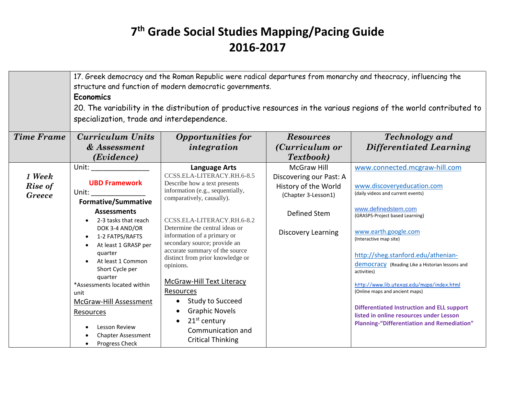|                                    | 17. Greek democracy and the Roman Republic were radical departures from monarchy and theocracy, influencing the<br>structure and function of modern democratic governments.<br><b>Economics</b><br>20. The variability in the distribution of productive resources in the various regions of the world contributed to<br>specialization, trade and interdependence.                                    |                                                                                                                                                                                   |                                                                                              |                                                                                                                                                                                                                                  |  |  |
|------------------------------------|--------------------------------------------------------------------------------------------------------------------------------------------------------------------------------------------------------------------------------------------------------------------------------------------------------------------------------------------------------------------------------------------------------|-----------------------------------------------------------------------------------------------------------------------------------------------------------------------------------|----------------------------------------------------------------------------------------------|----------------------------------------------------------------------------------------------------------------------------------------------------------------------------------------------------------------------------------|--|--|
| <b>Time Frame</b>                  | Curriculum Units                                                                                                                                                                                                                                                                                                                                                                                       | <b>Opportunities for</b>                                                                                                                                                          | <b>Resources</b>                                                                             | <b>Technology</b> and                                                                                                                                                                                                            |  |  |
|                                    | & Assessment<br>( <i>Evidence</i> )                                                                                                                                                                                                                                                                                                                                                                    | integration                                                                                                                                                                       | ( <i>Curriculum or</i><br><b>Textbook</b> )                                                  | Differentiated Learning                                                                                                                                                                                                          |  |  |
| 1 Week<br>Rise of<br><b>Greece</b> | Unit: and the state of the state of the state of the state of the state of the state of the state of the state<br><b>UBD Framework</b><br>Unit: The contract of the contract of the contract of the contract of the contract of the contract of the contract of the contract of the contract of the contract of the contract of the contract of the contract of the cont<br><b>Formative/Summative</b> | <b>Language Arts</b><br>CCSS.ELA-LITERACY.RH.6-8.5<br>Describe how a text presents<br>information (e.g., sequentially,<br>comparatively, causally).                               | <b>McGraw Hill</b><br>Discovering our Past: A<br>History of the World<br>(Chapter 3-Lesson1) | www.connected.mcgraw-hill.com<br>www.discoveryeducation.com<br>(daily videos and current events)                                                                                                                                 |  |  |
|                                    | <b>Assessments</b><br>2-3 tasks that reach                                                                                                                                                                                                                                                                                                                                                             | CCSS.ELA-LITERACY.RH.6-8.2                                                                                                                                                        | Defined Stem                                                                                 | www.definedstem.com<br>(GRASPS-Project based Learning)                                                                                                                                                                           |  |  |
|                                    | DOK 3-4 AND/OR<br>1-2 FATPS/RAFTS<br>At least 1 GRASP per<br>quarter<br>At least 1 Common<br>Short Cycle per                                                                                                                                                                                                                                                                                           | Determine the central ideas or<br>information of a primary or<br>secondary source; provide an<br>accurate summary of the source<br>distinct from prior knowledge or<br>opinions.  | <b>Discovery Learning</b>                                                                    | www.earth.google.com<br>(Interactive map site)<br>http://sheg.stanford.edu/athenian-<br>democracy (Reading Like a Historian lessons and<br>activities)                                                                           |  |  |
|                                    | quarter<br>*Assessments located within<br>unit<br>McGraw-Hill Assessment<br>Resources<br>Lesson Review<br><b>Chapter Assessment</b><br>Progress Check                                                                                                                                                                                                                                                  | <b>McGraw-Hill Text Literacy</b><br>Resources<br><b>Study to Succeed</b><br><b>Graphic Novels</b><br>$21st$ century<br>$\bullet$<br>Communication and<br><b>Critical Thinking</b> |                                                                                              | http://www.lib.utexas.edu/maps/index.html<br>(Online maps and ancient maps)<br><b>Differentiated Instruction and ELL support</b><br>listed in online resources under Lesson<br><b>Planning-"Differentiation and Remediation"</b> |  |  |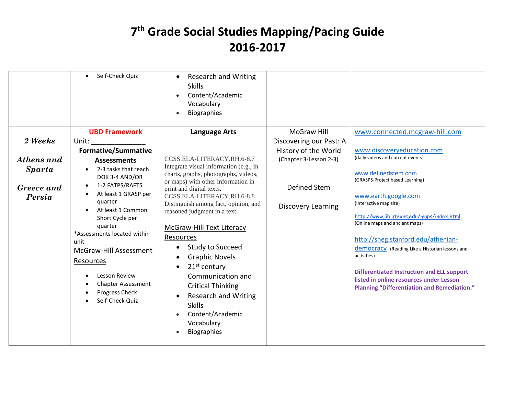|                                                                | Self-Check Quiz                                                                                                                                                                                                                                                               | <b>Research and Writing</b><br><b>Skills</b><br>Content/Academic<br>Vocabulary<br><b>Biographies</b>                                                                                                                                                                                                                                                             |                                                                                                                               |                                                                                                                                                                                                                                                                                                                                                     |
|----------------------------------------------------------------|-------------------------------------------------------------------------------------------------------------------------------------------------------------------------------------------------------------------------------------------------------------------------------|------------------------------------------------------------------------------------------------------------------------------------------------------------------------------------------------------------------------------------------------------------------------------------------------------------------------------------------------------------------|-------------------------------------------------------------------------------------------------------------------------------|-----------------------------------------------------------------------------------------------------------------------------------------------------------------------------------------------------------------------------------------------------------------------------------------------------------------------------------------------------|
| 2 Weeks<br>Athens and<br><b>Sparta</b><br>Greece and<br>Persia | Unit:<br><b>Formative/Summative</b><br><b>Assessments</b><br>2-3 tasks that reach<br>DOK 3-4 AND/OR<br>1-2 FATPS/RAFTS<br>At least 1 GRASP per<br>quarter<br>At least 1 Common<br>Short Cycle per<br>quarter<br>*Assessments located within<br>unit<br>McGraw-Hill Assessment | CCSS.ELA-LITERACY.RH.6-8.7<br>Integrate visual information (e.g., in<br>charts, graphs, photographs, videos,<br>or maps) with other information in<br>print and digital texts.<br>CCSS.ELA-LITERACY.RH.6-8.8<br>Distinguish among fact, opinion, and<br>reasoned judgment in a text.<br><b>McGraw-Hill Text Literacy</b><br>Resources<br><b>Study to Succeed</b> | Discovering our Past: A<br>History of the World<br>(Chapter 3-Lesson 2-3)<br><b>Defined Stem</b><br><b>Discovery Learning</b> | www.discoveryeducation.com<br>(daily videos and current events)<br>www.definedstem.com<br>(GRASPS-Project based Learning)<br>www.earth.google.com<br>(Interactive map site)<br>http://www.lib.utexas.edu/maps/index.html<br>(Online maps and ancient maps)<br>http://sheg.stanford.edu/athenian-<br>democracy (Reading Like a Historian lessons and |
|                                                                | Resources<br>Lesson Review<br><b>Chapter Assessment</b><br>Progress Check<br>Self-Check Quiz                                                                                                                                                                                  | <b>Graphic Novels</b><br>21 <sup>st</sup> century<br>Communication and<br><b>Critical Thinking</b><br><b>Research and Writing</b><br><b>Skills</b><br>Content/Academic<br>Vocabulary<br><b>Biographies</b>                                                                                                                                                       |                                                                                                                               | activities)<br><b>Differentiated Instruction and ELL support</b><br>listed in online resources under Lesson<br><b>Planning "Differentiation and Remediation."</b>                                                                                                                                                                                   |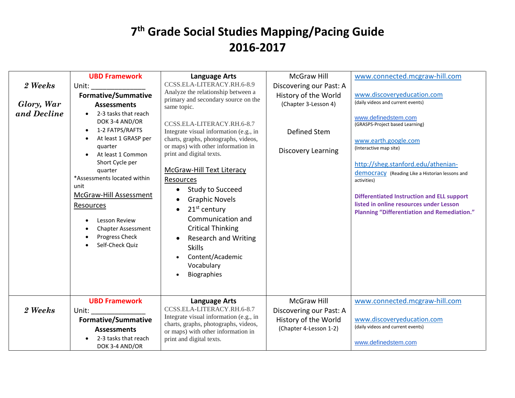| 2 Weeks<br>Glory, War<br>and Decline | <b>UBD Framework</b><br>Unit:<br><b>Formative/Summative</b><br><b>Assessments</b><br>2-3 tasks that reach<br>DOK 3-4 AND/OR<br>1-2 FATPS/RAFTS<br>$\bullet$<br>At least 1 GRASP per<br>quarter<br>At least 1 Common<br>Short Cycle per<br>quarter<br>*Assessments located within<br>unit<br>McGraw-Hill Assessment<br>Resources<br>Lesson Review<br><b>Chapter Assessment</b><br>Progress Check<br>Self-Check Quiz | <b>Language Arts</b><br>CCSS.ELA-LITERACY.RH.6-8.9<br>Analyze the relationship between a<br>primary and secondary source on the<br>same topic.<br>CCSS.ELA-LITERACY.RH.6-8.7<br>Integrate visual information (e.g., in<br>charts, graphs, photographs, videos,<br>or maps) with other information in<br>print and digital texts.<br><b>McGraw-Hill Text Literacy</b><br>Resources<br><b>Study to Succeed</b><br>$\bullet$<br><b>Graphic Novels</b><br>$\bullet$<br>$21st$ century<br>$\bullet$<br>Communication and<br><b>Critical Thinking</b><br><b>Research and Writing</b><br><b>Skills</b><br>Content/Academic<br>Vocabulary<br><b>Biographies</b> | <b>McGraw Hill</b><br>Discovering our Past: A<br>History of the World<br>(Chapter 3-Lesson 4)<br><b>Defined Stem</b><br><b>Discovery Learning</b> | www.connected.mcgraw-hill.com<br>www.discoveryeducation.com<br>(daily videos and current events)<br>www.definedstem.com<br>(GRASPS-Project based Learning)<br>www.earth.google.com<br>(Interactive map site)<br>http://sheg.stanford.edu/athenian-<br>democracy (Reading Like a Historian lessons and<br>activities)<br><b>Differentiated Instruction and ELL support</b><br>listed in online resources under Lesson<br><b>Planning "Differentiation and Remediation."</b> |
|--------------------------------------|--------------------------------------------------------------------------------------------------------------------------------------------------------------------------------------------------------------------------------------------------------------------------------------------------------------------------------------------------------------------------------------------------------------------|---------------------------------------------------------------------------------------------------------------------------------------------------------------------------------------------------------------------------------------------------------------------------------------------------------------------------------------------------------------------------------------------------------------------------------------------------------------------------------------------------------------------------------------------------------------------------------------------------------------------------------------------------------|---------------------------------------------------------------------------------------------------------------------------------------------------|----------------------------------------------------------------------------------------------------------------------------------------------------------------------------------------------------------------------------------------------------------------------------------------------------------------------------------------------------------------------------------------------------------------------------------------------------------------------------|
| 2 Weeks                              | <b>UBD Framework</b><br>Unit:<br><b>Formative/Summative</b><br><b>Assessments</b><br>2-3 tasks that reach<br>DOK 3-4 AND/OR                                                                                                                                                                                                                                                                                        | <b>Language Arts</b><br>CCSS.ELA-LITERACY.RH.6-8.7<br>Integrate visual information (e.g., in<br>charts, graphs, photographs, videos,<br>or maps) with other information in<br>print and digital texts.                                                                                                                                                                                                                                                                                                                                                                                                                                                  | <b>McGraw Hill</b><br>Discovering our Past: A<br>History of the World<br>(Chapter 4-Lesson 1-2)                                                   | www.connected.mcgraw-hill.com<br>www.discoveryeducation.com<br>(daily videos and current events)<br>www.definedstem.com                                                                                                                                                                                                                                                                                                                                                    |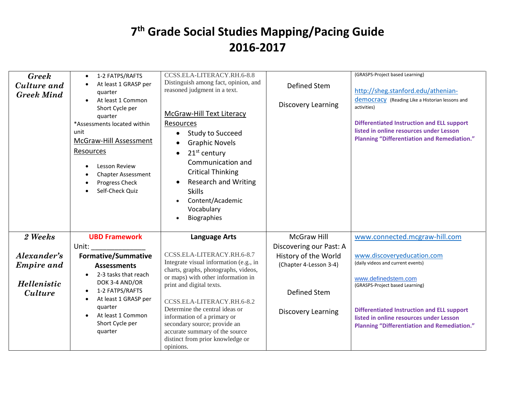| <b>Greek</b><br>Culture and<br><b>Greek Mind</b> | 1-2 FATPS/RAFTS<br>$\bullet$<br>At least 1 GRASP per<br>quarter<br>At least 1 Common<br>$\bullet$<br>Short Cycle per<br>quarter<br>*Assessments located within<br>unit<br><b>McGraw-Hill Assessment</b><br>Resources<br>Lesson Review<br><b>Chapter Assessment</b><br>Progress Check<br>Self-Check Quiz | CCSS.ELA-LITERACY.RH.6-8.8<br>Distinguish among fact, opinion, and<br>reasoned judgment in a text.<br>McGraw-Hill Text Literacy<br>Resources<br><b>Study to Succeed</b><br>$\bullet$<br><b>Graphic Novels</b><br>$21st$ century<br>$\bullet$<br>Communication and<br><b>Critical Thinking</b><br><b>Research and Writing</b><br><b>Skills</b><br>Content/Academic | Defined Stem<br><b>Discovery Learning</b> | (GRASPS-Project based Learning)<br>http://sheg.stanford.edu/athenian-<br>democracy (Reading Like a Historian lessons and<br>activities)<br><b>Differentiated Instruction and ELL support</b><br>listed in online resources under Lesson<br><b>Planning "Differentiation and Remediation."</b> |
|--------------------------------------------------|---------------------------------------------------------------------------------------------------------------------------------------------------------------------------------------------------------------------------------------------------------------------------------------------------------|-------------------------------------------------------------------------------------------------------------------------------------------------------------------------------------------------------------------------------------------------------------------------------------------------------------------------------------------------------------------|-------------------------------------------|-----------------------------------------------------------------------------------------------------------------------------------------------------------------------------------------------------------------------------------------------------------------------------------------------|
|                                                  |                                                                                                                                                                                                                                                                                                         | Vocabulary<br><b>Biographies</b><br>$\bullet$                                                                                                                                                                                                                                                                                                                     |                                           |                                                                                                                                                                                                                                                                                               |
| 2 Weeks                                          | <b>UBD Framework</b>                                                                                                                                                                                                                                                                                    | <b>Language Arts</b>                                                                                                                                                                                                                                                                                                                                              | <b>McGraw Hill</b>                        | www.connected.mcgraw-hill.com                                                                                                                                                                                                                                                                 |
|                                                  | Unit:                                                                                                                                                                                                                                                                                                   |                                                                                                                                                                                                                                                                                                                                                                   | Discovering our Past: A                   |                                                                                                                                                                                                                                                                                               |
| Alexander's                                      | <b>Formative/Summative</b>                                                                                                                                                                                                                                                                              | CCSS.ELA-LITERACY.RH.6-8.7                                                                                                                                                                                                                                                                                                                                        | History of the World                      | www.discoveryeducation.com                                                                                                                                                                                                                                                                    |
| <b>Empire</b> and                                | <b>Assessments</b>                                                                                                                                                                                                                                                                                      | Integrate visual information (e.g., in<br>charts, graphs, photographs, videos,                                                                                                                                                                                                                                                                                    | (Chapter 4-Lesson 3-4)                    | (daily videos and current events)                                                                                                                                                                                                                                                             |
|                                                  | 2-3 tasks that reach<br>DOK 3-4 AND/OR                                                                                                                                                                                                                                                                  | or maps) with other information in                                                                                                                                                                                                                                                                                                                                |                                           | www.definedstem.com                                                                                                                                                                                                                                                                           |
| Hellenistic<br><b>Culture</b>                    | 1-2 FATPS/RAFTS                                                                                                                                                                                                                                                                                         | print and digital texts.                                                                                                                                                                                                                                                                                                                                          | Defined Stem                              | (GRASPS-Project based Learning)                                                                                                                                                                                                                                                               |
|                                                  | At least 1 GRASP per                                                                                                                                                                                                                                                                                    | CCSS.ELA-LITERACY.RH.6-8.2                                                                                                                                                                                                                                                                                                                                        |                                           |                                                                                                                                                                                                                                                                                               |
|                                                  | quarter                                                                                                                                                                                                                                                                                                 | Determine the central ideas or                                                                                                                                                                                                                                                                                                                                    | <b>Discovery Learning</b>                 | <b>Differentiated Instruction and ELL support</b>                                                                                                                                                                                                                                             |
|                                                  | At least 1 Common<br>Short Cycle per                                                                                                                                                                                                                                                                    | information of a primary or<br>secondary source; provide an                                                                                                                                                                                                                                                                                                       |                                           | listed in online resources under Lesson                                                                                                                                                                                                                                                       |
|                                                  | quarter                                                                                                                                                                                                                                                                                                 | accurate summary of the source                                                                                                                                                                                                                                                                                                                                    |                                           | <b>Planning "Differentiation and Remediation."</b>                                                                                                                                                                                                                                            |
|                                                  |                                                                                                                                                                                                                                                                                                         | distinct from prior knowledge or<br>opinions.                                                                                                                                                                                                                                                                                                                     |                                           |                                                                                                                                                                                                                                                                                               |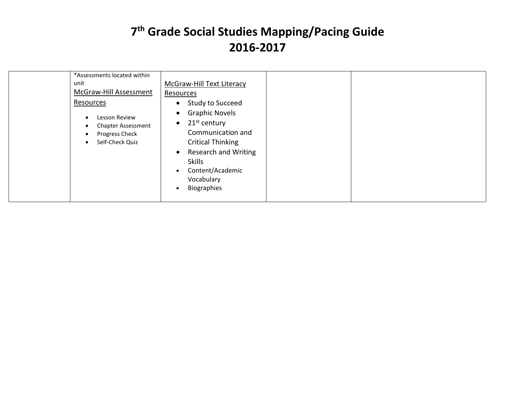| *Assessments located within<br>unit<br>McGraw-Hill Assessment<br>Resources<br>Lesson Review<br><b>Chapter Assessment</b><br>Progress Check<br>Self-Check Quiz | McGraw-Hill Text Literacy<br>Resources<br>Study to Succeed<br><b>Graphic Novels</b><br>21 <sup>st</sup> century<br>$\bullet$<br>Communication and<br>Critical Thinking<br><b>Research and Writing</b><br><b>Skills</b><br>Content/Academic<br>Vocabulary<br>Biographies |
|---------------------------------------------------------------------------------------------------------------------------------------------------------------|-------------------------------------------------------------------------------------------------------------------------------------------------------------------------------------------------------------------------------------------------------------------------|
|                                                                                                                                                               |                                                                                                                                                                                                                                                                         |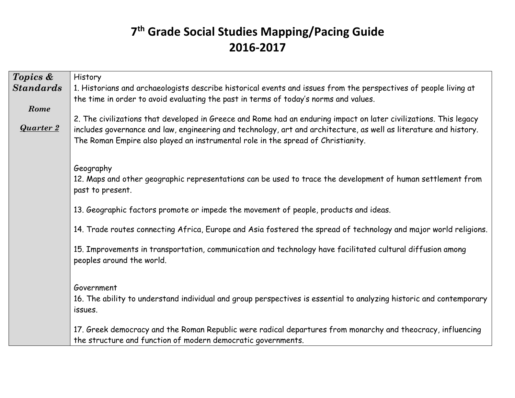| Topics &         | History                                                                                                             |
|------------------|---------------------------------------------------------------------------------------------------------------------|
| <b>Standards</b> | 1. Historians and archaeologists describe historical events and issues from the perspectives of people living at    |
|                  | the time in order to avoid evaluating the past in terms of today's norms and values.                                |
| Rome             |                                                                                                                     |
|                  | 2. The civilizations that developed in Greece and Rome had an enduring impact on later civilizations. This legacy   |
| <b>Quarter 2</b> | includes governance and law, engineering and technology, art and architecture, as well as literature and history.   |
|                  | The Roman Empire also played an instrumental role in the spread of Christianity.                                    |
|                  |                                                                                                                     |
|                  | Geography                                                                                                           |
|                  | 12. Maps and other geographic representations can be used to trace the development of human settlement from         |
|                  | past to present.                                                                                                    |
|                  |                                                                                                                     |
|                  | 13. Geographic factors promote or impede the movement of people, products and ideas.                                |
|                  | 14. Trade routes connecting Africa, Europe and Asia fostered the spread of technology and major world religions.    |
|                  | 15. Improvements in transportation, communication and technology have facilitated cultural diffusion among          |
|                  | peoples around the world.                                                                                           |
|                  |                                                                                                                     |
|                  | Government                                                                                                          |
|                  | 16. The ability to understand individual and group perspectives is essential to analyzing historic and contemporary |
|                  | issues.                                                                                                             |
|                  |                                                                                                                     |
|                  | 17. Greek democracy and the Roman Republic were radical departures from monarchy and theocracy, influencing         |
|                  | the structure and function of modern democratic governments.                                                        |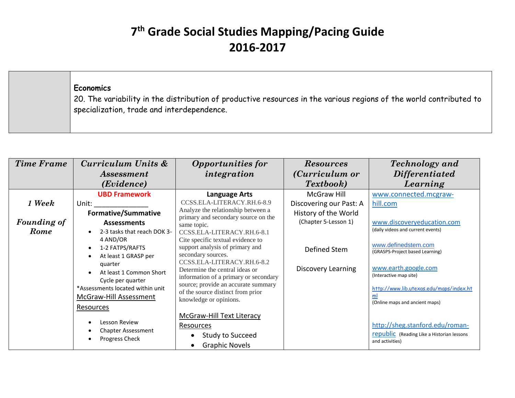#### **Economics**

20. The variability in the distribution of productive resources in the various regions of the world contributed to specialization, trade and interdependence.

| <b>Time Frame</b>  | Curriculum Units &                                                                                             | <b>Opportunities for</b>                                                                                                                                                                            | <b>Resources</b>                          | <b>Technology</b> and                                                                                    |
|--------------------|----------------------------------------------------------------------------------------------------------------|-----------------------------------------------------------------------------------------------------------------------------------------------------------------------------------------------------|-------------------------------------------|----------------------------------------------------------------------------------------------------------|
|                    | <i>Assessment</i>                                                                                              | integration                                                                                                                                                                                         | ( <i>Curriculum or</i>                    | <b>Differentiated</b>                                                                                    |
|                    | (Evidence)                                                                                                     |                                                                                                                                                                                                     | <b>Textbook</b> )                         | Learning                                                                                                 |
|                    | <b>UBD Framework</b>                                                                                           | <b>Language Arts</b>                                                                                                                                                                                | <b>McGraw Hill</b>                        | www.connected.mcgraw-                                                                                    |
| 1 Week             | Unit:                                                                                                          | CCSS.ELA-LITERACY.RH.6-8.9                                                                                                                                                                          | Discovering our Past: A                   | hill.com                                                                                                 |
|                    | <b>Formative/Summative</b>                                                                                     | Analyze the relationship between a                                                                                                                                                                  | History of the World                      |                                                                                                          |
| <b>Founding of</b> | <b>Assessments</b>                                                                                             | primary and secondary source on the<br>same topic.                                                                                                                                                  | (Chapter 5-Lesson 1)                      | www.discoveryeducation.com                                                                               |
| Rome               | 2-3 tasks that reach DOK 3-                                                                                    | CCSS.ELA-LITERACY.RH.6-8.1                                                                                                                                                                          |                                           | (daily videos and current events)                                                                        |
|                    | 4 AND/OR<br>1-2 FATPS/RAFTS<br>At least 1 GRASP per<br>quarter<br>At least 1 Common Short<br>Cycle per quarter | Cite specific textual evidence to<br>support analysis of primary and<br>secondary sources.<br>CCSS.ELA-LITERACY.RH.6-8.2<br>Determine the central ideas or<br>information of a primary or secondary | Defined Stem<br><b>Discovery Learning</b> | www.definedstem.com<br>(GRASPS-Project based Learning)<br>www.earth.google.com<br>(Interactive map site) |
|                    | *Assessments located within unit<br><b>McGraw-Hill Assessment</b><br>Resources                                 | source; provide an accurate summary<br>of the source distinct from prior<br>knowledge or opinions.                                                                                                  |                                           | http://www.lib.utexas.edu/maps/index.ht<br>ml<br>(Online maps and ancient maps)                          |
|                    | Lesson Review<br><b>Chapter Assessment</b><br>Progress Check                                                   | <b>McGraw-Hill Text Literacy</b><br>Resources<br>Study to Succeed<br><b>Graphic Novels</b>                                                                                                          |                                           | http://sheg.stanford.edu/roman-<br>republic (Reading Like a Historian lessons<br>and activities)         |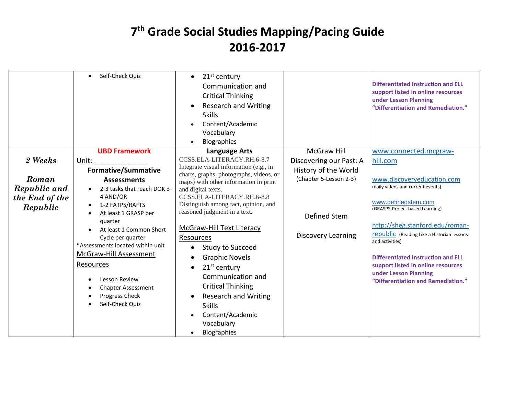| <b>McGraw Hill</b><br><b>UBD Framework</b><br><b>Language Arts</b><br>www.connected.mcgraw-<br>CCSS.ELA-LITERACY.RH.6-8.7<br>2 Weeks<br>Discovering our Past: A<br>hill.com<br>Unit:<br>Integrate visual information (e.g., in<br><b>Formative/Summative</b><br>History of the World<br>charts, graphs, photographs, videos, or<br>Roman<br>(Chapter 5-Lesson 2-3)<br>www.discoveryeducation.com<br><b>Assessments</b><br>maps) with other information in print<br>(daily videos and current events)<br>Republic and<br>2-3 tasks that reach DOK 3-<br>and digital texts.<br>CCSS.ELA-LITERACY.RH.6-8.8<br>4 AND/OR<br>the End of the<br>www.definedstem.com<br>Distinguish among fact, opinion, and<br>1-2 FATPS/RAFTS<br>Republic<br>(GRASPS-Project based Learning)<br>reasoned judgment in a text.<br>At least 1 GRASP per<br>Defined Stem<br>quarter<br>http://sheg.stanford.edu/roman-<br><b>McGraw-Hill Text Literacy</b><br>At least 1 Common Short<br>republic (Reading Like a Historian lessons<br><b>Discovery Learning</b><br>Cycle per quarter<br>Resources<br>and activities)<br>*Assessments located within unit<br><b>Study to Succeed</b><br>$\bullet$<br><b>McGraw-Hill Assessment</b><br><b>Graphic Novels</b><br><b>Differentiated Instruction and ELL</b><br>Resources<br>support listed in online resources<br>21 <sup>st</sup> century<br>$\bullet$<br>under Lesson Planning | Self-Check Quiz | $21st$ century<br>$\bullet$<br>Communication and<br><b>Critical Thinking</b><br><b>Research and Writing</b><br><b>Skills</b><br>Content/Academic<br>Vocabulary<br><b>Biographies</b> | <b>Differentiated Instruction and ELL</b><br>support listed in online resources<br>under Lesson Planning<br>"Differentiation and Remediation." |
|-----------------------------------------------------------------------------------------------------------------------------------------------------------------------------------------------------------------------------------------------------------------------------------------------------------------------------------------------------------------------------------------------------------------------------------------------------------------------------------------------------------------------------------------------------------------------------------------------------------------------------------------------------------------------------------------------------------------------------------------------------------------------------------------------------------------------------------------------------------------------------------------------------------------------------------------------------------------------------------------------------------------------------------------------------------------------------------------------------------------------------------------------------------------------------------------------------------------------------------------------------------------------------------------------------------------------------------------------------------------------------------------------------|-----------------|--------------------------------------------------------------------------------------------------------------------------------------------------------------------------------------|------------------------------------------------------------------------------------------------------------------------------------------------|
| <b>Critical Thinking</b><br><b>Chapter Assessment</b><br>Progress Check<br><b>Research and Writing</b><br>Self-Check Quiz<br><b>Skills</b><br>Content/Academic<br>Vocabulary                                                                                                                                                                                                                                                                                                                                                                                                                                                                                                                                                                                                                                                                                                                                                                                                                                                                                                                                                                                                                                                                                                                                                                                                                        | Lesson Review   | Communication and                                                                                                                                                                    | "Differentiation and Remediation."                                                                                                             |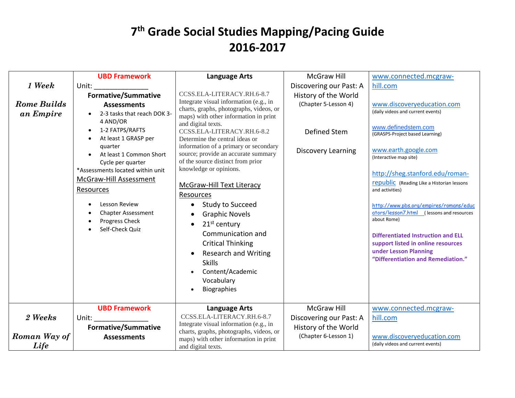|                                 | <b>UBD Framework</b>                                                                                                                                                                                                                                                                                                                                                          | <b>Language Arts</b>                                                                                                                                                                                                                                                                                                                                                                                                                                                                                                                                                                                                                                                                                                 | <b>McGraw Hill</b>                                                                            | www.connected.mcgraw-                                                                                                                                                                                                                                                                                                                                                                                                                                                                                                                   |
|---------------------------------|-------------------------------------------------------------------------------------------------------------------------------------------------------------------------------------------------------------------------------------------------------------------------------------------------------------------------------------------------------------------------------|----------------------------------------------------------------------------------------------------------------------------------------------------------------------------------------------------------------------------------------------------------------------------------------------------------------------------------------------------------------------------------------------------------------------------------------------------------------------------------------------------------------------------------------------------------------------------------------------------------------------------------------------------------------------------------------------------------------------|-----------------------------------------------------------------------------------------------|-----------------------------------------------------------------------------------------------------------------------------------------------------------------------------------------------------------------------------------------------------------------------------------------------------------------------------------------------------------------------------------------------------------------------------------------------------------------------------------------------------------------------------------------|
| 1 Week                          | Unit:                                                                                                                                                                                                                                                                                                                                                                         |                                                                                                                                                                                                                                                                                                                                                                                                                                                                                                                                                                                                                                                                                                                      | Discovering our Past: A                                                                       | hill.com                                                                                                                                                                                                                                                                                                                                                                                                                                                                                                                                |
| <b>Rome Builds</b><br>an Empire | <b>Formative/Summative</b><br><b>Assessments</b><br>2-3 tasks that reach DOK 3-<br>4 AND/OR<br>1-2 FATPS/RAFTS<br>At least 1 GRASP per<br>quarter<br>At least 1 Common Short<br>Cycle per quarter<br>*Assessments located within unit<br>McGraw-Hill Assessment<br><b>Resources</b><br><b>Lesson Review</b><br><b>Chapter Assessment</b><br>Progress Check<br>Self-Check Quiz | CCSS.ELA-LITERACY.RH.6-8.7<br>Integrate visual information (e.g., in<br>charts, graphs, photographs, videos, or<br>maps) with other information in print<br>and digital texts.<br>CCSS.ELA-LITERACY.RH.6-8.2<br>Determine the central ideas or<br>information of a primary or secondary<br>source; provide an accurate summary<br>of the source distinct from prior<br>knowledge or opinions.<br><b>McGraw-Hill Text Literacy</b><br>Resources<br><b>Study to Succeed</b><br>$\bullet$<br><b>Graphic Novels</b><br>$\bullet$<br>$21st$ century<br>Communication and<br><b>Critical Thinking</b><br><b>Research and Writing</b><br>$\bullet$<br><b>Skills</b><br>Content/Academic<br>Vocabulary<br><b>Biographies</b> | History of the World<br>(Chapter 5-Lesson 4)<br>Defined Stem<br><b>Discovery Learning</b>     | www.discoveryeducation.com<br>(daily videos and current events)<br>www.definedstem.com<br>(GRASPS-Project based Learning)<br>www.earth.google.com<br>(Interactive map site)<br>http://sheg.stanford.edu/roman-<br>republic (Reading Like a Historian lessons<br>and activities)<br>http://www.pbs.org/empires/romans/educ<br>ators/lesson7.html (lessons and resources<br>about Rome)<br><b>Differentiated Instruction and ELL</b><br>support listed in online resources<br>under Lesson Planning<br>"Differentiation and Remediation." |
| 2 Weeks<br>Roman Way of<br>Life | <b>UBD Framework</b><br>Unit:<br><b>Formative/Summative</b><br><b>Assessments</b>                                                                                                                                                                                                                                                                                             | <b>Language Arts</b><br>CCSS.ELA-LITERACY.RH.6-8.7<br>Integrate visual information (e.g., in<br>charts, graphs, photographs, videos, or<br>maps) with other information in print<br>and digital texts.                                                                                                                                                                                                                                                                                                                                                                                                                                                                                                               | <b>McGraw Hill</b><br>Discovering our Past: A<br>History of the World<br>(Chapter 6-Lesson 1) | www.connected.mcgraw-<br>hill.com<br>www.discoveryeducation.com<br>(daily videos and current events)                                                                                                                                                                                                                                                                                                                                                                                                                                    |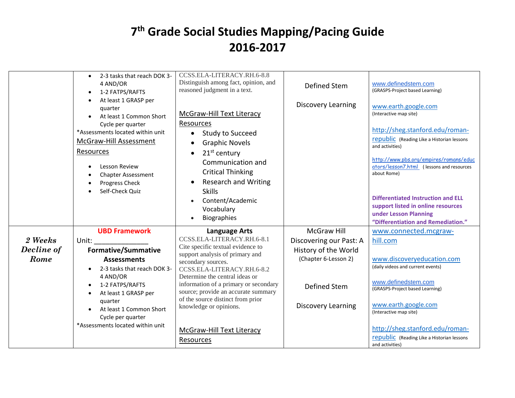|                                      | 2-3 tasks that reach DOK 3-<br>4 AND/OR<br>1-2 FATPS/RAFTS<br>At least 1 GRASP per<br>quarter<br>At least 1 Common Short<br>Cycle per quarter<br>*Assessments located within unit<br>McGraw-Hill Assessment<br>Resources<br>Lesson Review<br><b>Chapter Assessment</b><br>Progress Check<br>Self-Check Quiz | CCSS.ELA-LITERACY.RH.6-8.8<br>Distinguish among fact, opinion, and<br>reasoned judgment in a text.<br><b>McGraw-Hill Text Literacy</b><br>Resources<br><b>Study to Succeed</b><br><b>Graphic Novels</b><br>$21st$ century<br>$\bullet$<br>Communication and<br><b>Critical Thinking</b><br><b>Research and Writing</b><br><b>Skills</b><br>Content/Academic<br>Vocabulary<br>Biographies<br>$\bullet$     | Defined Stem<br><b>Discovery Learning</b>                                                                                                  | www.definedstem.com<br>(GRASPS-Project based Learning)<br>www.earth.google.com<br>(Interactive map site)<br>http://sheg.stanford.edu/roman-<br>republic (Reading Like a Historian lessons<br>and activities)<br>http://www.pbs.org/empires/romans/educ<br>ators/lesson7.html (lessons and resources<br>about Rome)<br><b>Differentiated Instruction and ELL</b><br>support listed in online resources<br>under Lesson Planning<br>"Differentiation and Remediation." |
|--------------------------------------|-------------------------------------------------------------------------------------------------------------------------------------------------------------------------------------------------------------------------------------------------------------------------------------------------------------|-----------------------------------------------------------------------------------------------------------------------------------------------------------------------------------------------------------------------------------------------------------------------------------------------------------------------------------------------------------------------------------------------------------|--------------------------------------------------------------------------------------------------------------------------------------------|----------------------------------------------------------------------------------------------------------------------------------------------------------------------------------------------------------------------------------------------------------------------------------------------------------------------------------------------------------------------------------------------------------------------------------------------------------------------|
| 2 Weeks<br><b>Decline</b> of<br>Rome | <b>UBD Framework</b><br>Unit:<br><b>Formative/Summative</b><br><b>Assessments</b><br>2-3 tasks that reach DOK 3-<br>4 AND/OR<br>1-2 FATPS/RAFTS<br>At least 1 GRASP per<br>quarter<br>At least 1 Common Short<br>Cycle per quarter<br>*Assessments located within unit                                      | <b>Language Arts</b><br>CCSS.ELA-LITERACY.RH.6-8.1<br>Cite specific textual evidence to<br>support analysis of primary and<br>secondary sources.<br>CCSS.ELA-LITERACY.RH.6-8.2<br>Determine the central ideas or<br>information of a primary or secondary<br>source; provide an accurate summary<br>of the source distinct from prior<br>knowledge or opinions.<br>McGraw-Hill Text Literacy<br>Resources | <b>McGraw Hill</b><br>Discovering our Past: A<br>History of the World<br>(Chapter 6-Lesson 2)<br>Defined Stem<br><b>Discovery Learning</b> | www.connected.mcgraw-<br>hill.com<br>www.discoveryeducation.com<br>(daily videos and current events)<br>www.definedstem.com<br>(GRASPS-Project based Learning)<br>www.earth.google.com<br>(Interactive map site)<br>http://sheg.stanford.edu/roman-<br>republic (Reading Like a Historian lessons<br>and activities)                                                                                                                                                 |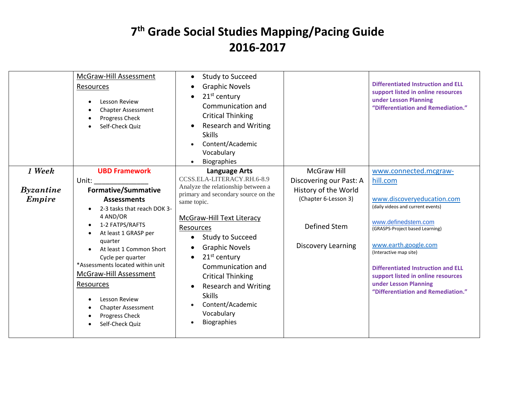|                                   | McGraw-Hill Assessment<br>Resources<br>Lesson Review<br><b>Chapter Assessment</b><br>Progress Check<br>Self-Check Quiz                                                                                                                                                                                 | <b>Study to Succeed</b><br>$\bullet$<br><b>Graphic Novels</b><br>$\bullet$<br>21 <sup>st</sup> century<br>$\bullet$<br>Communication and<br><b>Critical Thinking</b><br><b>Research and Writing</b><br>$\bullet$<br><b>Skills</b><br>Content/Academic<br>Vocabulary<br><b>Biographies</b>                   |                                              | <b>Differentiated Instruction and ELL</b><br>support listed in online resources<br>under Lesson Planning<br>"Differentiation and Remediation."                                                                                                             |
|-----------------------------------|--------------------------------------------------------------------------------------------------------------------------------------------------------------------------------------------------------------------------------------------------------------------------------------------------------|-------------------------------------------------------------------------------------------------------------------------------------------------------------------------------------------------------------------------------------------------------------------------------------------------------------|----------------------------------------------|------------------------------------------------------------------------------------------------------------------------------------------------------------------------------------------------------------------------------------------------------------|
| 1 Week                            | <b>UBD Framework</b>                                                                                                                                                                                                                                                                                   | <b>Language Arts</b>                                                                                                                                                                                                                                                                                        | McGraw Hill                                  | www.connected.mcgraw-                                                                                                                                                                                                                                      |
|                                   | Unit:                                                                                                                                                                                                                                                                                                  | CCSS.ELA-LITERACY.RH.6-8.9<br>Analyze the relationship between a                                                                                                                                                                                                                                            | Discovering our Past: A                      | hill.com                                                                                                                                                                                                                                                   |
| <b>Byzantine</b><br><b>Empire</b> | <b>Formative/Summative</b><br><b>Assessments</b>                                                                                                                                                                                                                                                       | primary and secondary source on the                                                                                                                                                                                                                                                                         | History of the World<br>(Chapter 6-Lesson 3) | www.discoveryeducation.com                                                                                                                                                                                                                                 |
|                                   | 2-3 tasks that reach DOK 3-<br>$\bullet$                                                                                                                                                                                                                                                               | same topic.                                                                                                                                                                                                                                                                                                 |                                              | (daily videos and current events)                                                                                                                                                                                                                          |
|                                   | 4 AND/OR<br>1-2 FATPS/RAFTS<br>$\bullet$<br>At least 1 GRASP per<br>quarter<br>At least 1 Common Short<br>Cycle per quarter<br>*Assessments located within unit<br>McGraw-Hill Assessment<br>Resources<br>Lesson Review<br>$\bullet$<br><b>Chapter Assessment</b><br>Progress Check<br>Self-Check Quiz | <b>McGraw-Hill Text Literacy</b><br>Resources<br><b>Study to Succeed</b><br>$\bullet$<br><b>Graphic Novels</b><br>٠<br>$21st$ century<br>$\bullet$<br>Communication and<br><b>Critical Thinking</b><br><b>Research and Writing</b><br><b>Skills</b><br>Content/Academic<br>Vocabulary<br><b>Biographies</b> | Defined Stem<br><b>Discovery Learning</b>    | www.definedstem.com<br>(GRASPS-Project based Learning)<br>www.earth.google.com<br>(Interactive map site)<br><b>Differentiated Instruction and ELL</b><br>support listed in online resources<br>under Lesson Planning<br>"Differentiation and Remediation." |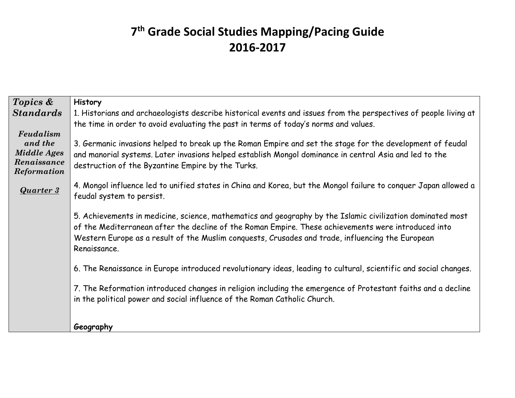| Topics &                          | <b>History</b>                                                                                                                               |
|-----------------------------------|----------------------------------------------------------------------------------------------------------------------------------------------|
| <b>Standards</b>                  | 1. Historians and archaeologists describe historical events and issues from the perspectives of people living at                             |
|                                   | the time in order to avoid evaluating the past in terms of today's norms and values.                                                         |
| Feudalism                         |                                                                                                                                              |
| and the                           | 3. Germanic invasions helped to break up the Roman Empire and set the stage for the development of feudal                                    |
| <b>Middle Ages</b><br>Renaissance | and manorial systems. Later invasions helped establish Mongol dominance in central Asia and led to the                                       |
| Reformation                       | destruction of the Byzantine Empire by the Turks.                                                                                            |
|                                   |                                                                                                                                              |
| <b>Quarter 3</b>                  | 4. Mongol influence led to unified states in China and Korea, but the Mongol failure to conquer Japan allowed a<br>feudal system to persist. |
|                                   |                                                                                                                                              |
|                                   | 5. Achievements in medicine, science, mathematics and geography by the Islamic civilization dominated most                                   |
|                                   | of the Mediterranean after the decline of the Roman Empire. These achievements were introduced into                                          |
|                                   | Western Europe as a result of the Muslim conquests, Crusades and trade, influencing the European                                             |
|                                   | Renaissance.                                                                                                                                 |
|                                   |                                                                                                                                              |
|                                   | 6. The Renaissance in Europe introduced revolutionary ideas, leading to cultural, scientific and social changes.                             |
|                                   | 7. The Reformation introduced changes in religion including the emergence of Protestant faiths and a decline                                 |
|                                   | in the political power and social influence of the Roman Catholic Church.                                                                    |
|                                   |                                                                                                                                              |
|                                   |                                                                                                                                              |
|                                   | Geography                                                                                                                                    |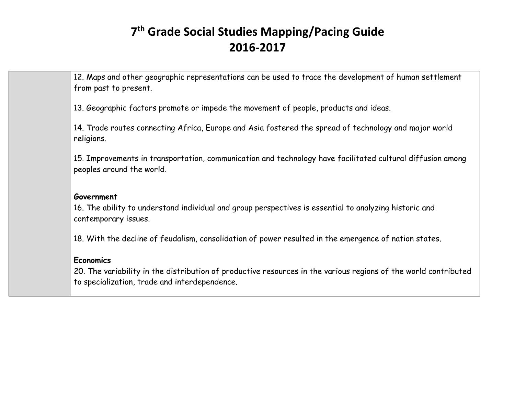12. Maps and other geographic representations can be used to trace the development of human settlement from past to present.

13. Geographic factors promote or impede the movement of people, products and ideas.

14. Trade routes connecting Africa, Europe and Asia fostered the spread of technology and major world religions.

15. Improvements in transportation, communication and technology have facilitated cultural diffusion among peoples around the world.

#### **Government**

16. The ability to understand individual and group perspectives is essential to analyzing historic and contemporary issues.

18. With the decline of feudalism, consolidation of power resulted in the emergence of nation states.

#### **Economics**

20. The variability in the distribution of productive resources in the various regions of the world contributed to specialization, trade and interdependence.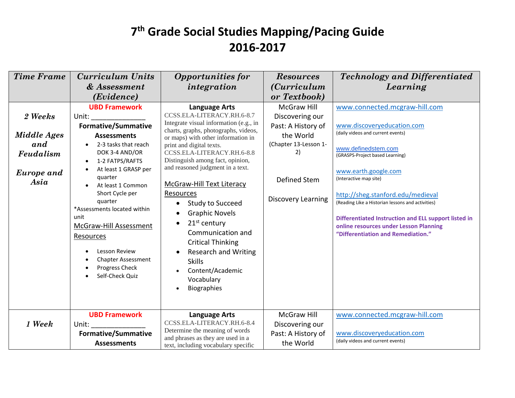| <b>Time Frame</b>                                                | Curriculum Units                                                                                                                                                                                                                                                                                                                                                                                                   | <b>Opportunities for</b>                                                                                                                                                                                                                                                                                                                                                                                                                                                                                                                                                            | <b>Resources</b>                                                                                                                                     | <b>Technology and Differentiated</b>                                                                                                                                                                                                                                                                                                                                                                                                           |
|------------------------------------------------------------------|--------------------------------------------------------------------------------------------------------------------------------------------------------------------------------------------------------------------------------------------------------------------------------------------------------------------------------------------------------------------------------------------------------------------|-------------------------------------------------------------------------------------------------------------------------------------------------------------------------------------------------------------------------------------------------------------------------------------------------------------------------------------------------------------------------------------------------------------------------------------------------------------------------------------------------------------------------------------------------------------------------------------|------------------------------------------------------------------------------------------------------------------------------------------------------|------------------------------------------------------------------------------------------------------------------------------------------------------------------------------------------------------------------------------------------------------------------------------------------------------------------------------------------------------------------------------------------------------------------------------------------------|
|                                                                  | & Assessment                                                                                                                                                                                                                                                                                                                                                                                                       | integration                                                                                                                                                                                                                                                                                                                                                                                                                                                                                                                                                                         | <i>(Curriculum</i> )                                                                                                                                 | Learning                                                                                                                                                                                                                                                                                                                                                                                                                                       |
|                                                                  | ( <i>Evidence</i> )                                                                                                                                                                                                                                                                                                                                                                                                |                                                                                                                                                                                                                                                                                                                                                                                                                                                                                                                                                                                     | or Textbook)                                                                                                                                         |                                                                                                                                                                                                                                                                                                                                                                                                                                                |
| 2 Weeks<br>Middle Ages<br>and<br>Feudalism<br>Europe and<br>Asia | <b>UBD Framework</b><br>Unit:<br><b>Formative/Summative</b><br><b>Assessments</b><br>2-3 tasks that reach<br>DOK 3-4 AND/OR<br>1-2 FATPS/RAFTS<br>$\bullet$<br>At least 1 GRASP per<br>quarter<br>At least 1 Common<br>Short Cycle per<br>quarter<br>*Assessments located within<br>unit<br>McGraw-Hill Assessment<br>Resources<br>Lesson Review<br><b>Chapter Assessment</b><br>Progress Check<br>Self-Check Quiz | <b>Language Arts</b><br>CCSS.ELA-LITERACY.RH.6-8.7<br>Integrate visual information (e.g., in<br>charts, graphs, photographs, videos,<br>or maps) with other information in<br>print and digital texts.<br>CCSS.ELA-LITERACY.RH.6-8.8<br>Distinguish among fact, opinion,<br>and reasoned judgment in a text.<br><b>McGraw-Hill Text Literacy</b><br>Resources<br><b>Study to Succeed</b><br><b>Graphic Novels</b><br>$21st$ century<br>$\bullet$<br>Communication and<br><b>Critical Thinking</b><br><b>Research and Writing</b><br><b>Skills</b><br>Content/Academic<br>Vocabulary | <b>McGraw Hill</b><br>Discovering our<br>Past: A History of<br>the World<br>(Chapter 13-Lesson 1-<br>2)<br>Defined Stem<br><b>Discovery Learning</b> | www.connected.mcgraw-hill.com<br>www.discoveryeducation.com<br>(daily videos and current events)<br>www.definedstem.com<br>(GRASPS-Project based Learning)<br>www.earth.google.com<br>(Interactive map site)<br>http://sheg.stanford.edu/medieval<br>(Reading Like a Historian lessons and activities)<br>Differentiated Instruction and ELL support listed in<br>online resources under Lesson Planning<br>"Differentiation and Remediation." |
|                                                                  |                                                                                                                                                                                                                                                                                                                                                                                                                    | <b>Biographies</b>                                                                                                                                                                                                                                                                                                                                                                                                                                                                                                                                                                  |                                                                                                                                                      |                                                                                                                                                                                                                                                                                                                                                                                                                                                |
|                                                                  | <b>UBD Framework</b>                                                                                                                                                                                                                                                                                                                                                                                               | <b>Language Arts</b>                                                                                                                                                                                                                                                                                                                                                                                                                                                                                                                                                                | <b>McGraw Hill</b>                                                                                                                                   | www.connected.mcgraw-hill.com                                                                                                                                                                                                                                                                                                                                                                                                                  |
| 1 Week                                                           | Unit:                                                                                                                                                                                                                                                                                                                                                                                                              | CCSS.ELA-LITERACY.RH.6-8.4                                                                                                                                                                                                                                                                                                                                                                                                                                                                                                                                                          | Discovering our                                                                                                                                      |                                                                                                                                                                                                                                                                                                                                                                                                                                                |
|                                                                  | <b>Formative/Summative</b><br><b>Assessments</b>                                                                                                                                                                                                                                                                                                                                                                   | Determine the meaning of words<br>and phrases as they are used in a<br>text, including vocabulary specific                                                                                                                                                                                                                                                                                                                                                                                                                                                                          | Past: A History of<br>the World                                                                                                                      | www.discoveryeducation.com<br>(daily videos and current events)                                                                                                                                                                                                                                                                                                                                                                                |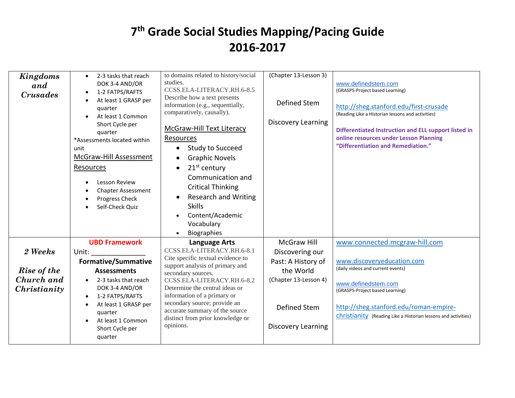| Kingdoms        | 2-3 tasks that reach                                                                                           | to domains related to history/social     | (Chapter 13-Lesson 3)     |                                                                       |
|-----------------|----------------------------------------------------------------------------------------------------------------|------------------------------------------|---------------------------|-----------------------------------------------------------------------|
| and             | DOK 3-4 AND/OR                                                                                                 | studies.                                 |                           | www.definedstem.com                                                   |
| <b>Crusades</b> | 1-2 FATPS/RAFTS                                                                                                | CCSS.ELA-LITERACY.RH.6-8.5               |                           | (GRASPS-Project based Learning)                                       |
|                 | At least 1 GRASP per                                                                                           | Describe how a text presents             |                           |                                                                       |
|                 | quarter                                                                                                        | information (e.g., sequentially,         | Defined Stem              | http://sheg.stanford.edu/first-crusade                                |
|                 |                                                                                                                | comparatively, causally).                |                           | (Reading Like a Historian lessons and activities)                     |
|                 | At least 1 Common                                                                                              |                                          | <b>Discovery Learning</b> |                                                                       |
|                 | Short Cycle per                                                                                                | <b>McGraw-Hill Text Literacy</b>         |                           |                                                                       |
|                 | quarter                                                                                                        |                                          |                           | Differentiated Instruction and ELL support listed in                  |
|                 | *Assessments located within                                                                                    | Resources                                |                           | online resources under Lesson Planning                                |
|                 | unit                                                                                                           | <b>Study to Succeed</b><br>$\bullet$     |                           | "Differentiation and Remediation."                                    |
|                 | McGraw-Hill Assessment                                                                                         | <b>Graphic Novels</b>                    |                           |                                                                       |
|                 | Resources                                                                                                      | $21st$ century<br>$\bullet$              |                           |                                                                       |
|                 |                                                                                                                | Communication and                        |                           |                                                                       |
|                 | Lesson Review                                                                                                  |                                          |                           |                                                                       |
|                 | <b>Chapter Assessment</b>                                                                                      | <b>Critical Thinking</b>                 |                           |                                                                       |
|                 | Progress Check                                                                                                 | <b>Research and Writing</b><br>$\bullet$ |                           |                                                                       |
|                 |                                                                                                                | <b>Skills</b>                            |                           |                                                                       |
|                 | Self-Check Quiz                                                                                                |                                          |                           |                                                                       |
|                 |                                                                                                                | Content/Academic                         |                           |                                                                       |
|                 |                                                                                                                | Vocabulary                               |                           |                                                                       |
|                 |                                                                                                                | Biographies<br>$\bullet$                 |                           |                                                                       |
|                 | <b>UBD Framework</b>                                                                                           | <b>Language Arts</b>                     | <b>McGraw Hill</b>        | www.connected.mcgraw-hill.com                                         |
| 2 Weeks         | Unit: and the state of the state of the state of the state of the state of the state of the state of the state | CCSS.ELA-LITERACY.RH.6-8.1               | Discovering our           |                                                                       |
|                 |                                                                                                                | Cite specific textual evidence to        |                           | www.discoveryeducation.com                                            |
|                 | <b>Formative/Summative</b>                                                                                     | support analysis of primary and          | Past: A History of        |                                                                       |
| Rise of the     | <b>Assessments</b>                                                                                             | secondary sources.                       | the World                 | (daily videos and current events)                                     |
| Church and      | 2-3 tasks that reach<br>$\bullet$                                                                              | CCSS.ELA-LITERACY.RH.6-8.2               | (Chapter 13-Lesson 4)     | www.definedstem.com                                                   |
| Christianity    | DOK 3-4 AND/OR                                                                                                 | Determine the central ideas or           |                           | (GRASPS-Project based Learning)                                       |
|                 | 1-2 FATPS/RAFTS                                                                                                | information of a primary or              |                           |                                                                       |
|                 | At least 1 GRASP per                                                                                           | secondary source; provide an             |                           |                                                                       |
|                 | quarter                                                                                                        | accurate summary of the source           | Defined Stem              | http://sheg.stanford.edu/roman-empire-                                |
|                 |                                                                                                                | distinct from prior knowledge or         |                           | <b>christianity</b> (Reading Like a Historian lessons and activities) |
|                 | At least 1 Common                                                                                              | opinions.                                | <b>Discovery Learning</b> |                                                                       |
|                 | Short Cycle per                                                                                                |                                          |                           |                                                                       |
|                 | quarter                                                                                                        |                                          |                           |                                                                       |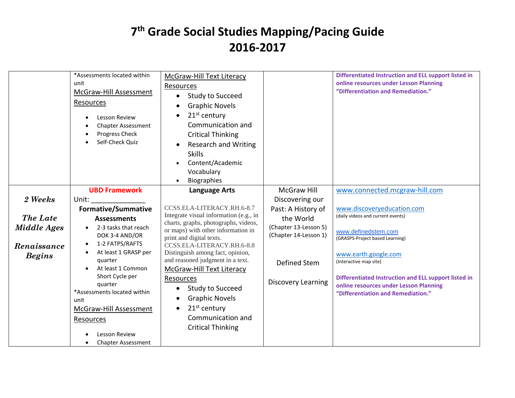| unit<br>McGraw-Hill Assessment<br><b>Resources</b><br>Lesson Review<br><b>Chapter Assessment</b><br>Progress Check<br>Self-Check Quiz                                                                                                                                                                                                                                                                 | Resources<br><b>Study to Succeed</b><br>$\bullet$<br><b>Graphic Novels</b><br>21 <sup>st</sup> century<br>Communication and<br><b>Critical Thinking</b><br><b>Research and Writing</b><br><b>Skills</b><br>Content/Academic<br>Vocabulary<br>Biographies                                                                                                                                                                                                                                    |                                                                                                                                                                         | online resources under Lesson Planning<br>"Differentiation and Remediation."                                                                                                                                                                                                                                                                         |
|-------------------------------------------------------------------------------------------------------------------------------------------------------------------------------------------------------------------------------------------------------------------------------------------------------------------------------------------------------------------------------------------------------|---------------------------------------------------------------------------------------------------------------------------------------------------------------------------------------------------------------------------------------------------------------------------------------------------------------------------------------------------------------------------------------------------------------------------------------------------------------------------------------------|-------------------------------------------------------------------------------------------------------------------------------------------------------------------------|------------------------------------------------------------------------------------------------------------------------------------------------------------------------------------------------------------------------------------------------------------------------------------------------------------------------------------------------------|
| <b>UBD Framework</b><br>2 Weeks<br>Unit:<br><b>Formative/Summative</b><br>The Late<br><b>Assessments</b><br>Middle Ages<br>2-3 tasks that reach<br>DOK 3-4 AND/OR<br>1-2 FATPS/RAFTS<br>$\bullet$<br>Renaissance<br>At least 1 GRASP per<br><b>Begins</b><br>quarter<br>At least 1 Common<br>Short Cycle per<br>quarter<br>*Assessments located within<br>unit<br>McGraw-Hill Assessment<br>Resources | <b>Language Arts</b><br>CCSS.ELA-LITERACY.RH.6-8.7<br>Integrate visual information (e.g., in<br>charts, graphs, photographs, videos,<br>or maps) with other information in<br>print and digital texts.<br>CCSS.ELA-LITERACY.RH.6-8.8<br>Distinguish among fact, opinion,<br>and reasoned judgment in a text.<br>McGraw-Hill Text Literacy<br>Resources<br>Study to Succeed<br>$\bullet$<br><b>Graphic Novels</b><br>$\bullet$<br>21 <sup>st</sup> century<br>$\bullet$<br>Communication and | <b>McGraw Hill</b><br>Discovering our<br>Past: A History of<br>the World<br>(Chapter 13-Lesson 5)<br>(Chapter 14-Lesson 1)<br>Defined Stem<br><b>Discovery Learning</b> | www.connected.mcgraw-hill.com<br>www.discoveryeducation.com<br>(daily videos and current events)<br>www.definedstem.com<br>(GRASPS-Project based Learning)<br>www.earth.google.com<br>(Interactive map site)<br>Differentiated Instruction and ELL support listed in<br>online resources under Lesson Planning<br>"Differentiation and Remediation." |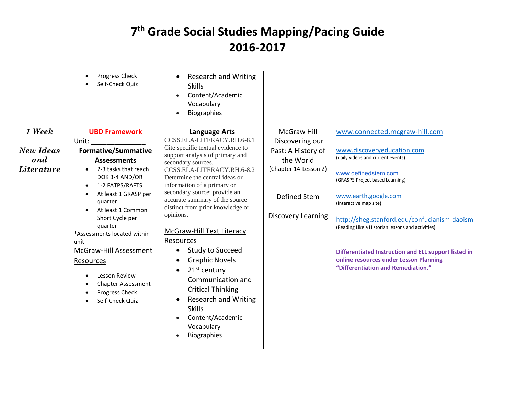| Vocabulary<br><b>Biographies</b><br>$\bullet$                                                                                                                                                                                                                                                                                                                                                                                                                                                                                                                                                                                                                                                                                                                                                                                                                                                                                                                                                                                                                                                                                                                                                                                                                                                                                                                                                                                                                                                                                                                                                                                                                                                                                                                                            |  |
|------------------------------------------------------------------------------------------------------------------------------------------------------------------------------------------------------------------------------------------------------------------------------------------------------------------------------------------------------------------------------------------------------------------------------------------------------------------------------------------------------------------------------------------------------------------------------------------------------------------------------------------------------------------------------------------------------------------------------------------------------------------------------------------------------------------------------------------------------------------------------------------------------------------------------------------------------------------------------------------------------------------------------------------------------------------------------------------------------------------------------------------------------------------------------------------------------------------------------------------------------------------------------------------------------------------------------------------------------------------------------------------------------------------------------------------------------------------------------------------------------------------------------------------------------------------------------------------------------------------------------------------------------------------------------------------------------------------------------------------------------------------------------------------|--|
| 1 Week<br><b>UBD Framework</b><br><b>McGraw Hill</b><br>www.connected.mcgraw-hill.com<br><b>Language Arts</b><br>CCSS.ELA-LITERACY.RH.6-8.1<br>Unit:<br>Discovering our<br>Cite specific textual evidence to<br><b>New Ideas</b><br><b>Formative/Summative</b><br>www.discoveryeducation.com<br>Past: A History of<br>support analysis of primary and<br>(daily videos and current events)<br>and<br>the World<br><b>Assessments</b><br>secondary sources.<br>Literature<br>(Chapter 14-Lesson 2)<br>2-3 tasks that reach<br>CCSS.ELA-LITERACY.RH.6-8.2<br>www.definedstem.com<br>DOK 3-4 AND/OR<br>Determine the central ideas or<br>(GRASPS-Project based Learning)<br>information of a primary or<br>1-2 FATPS/RAFTS<br>secondary source; provide an<br>At least 1 GRASP per<br>www.earth.google.com<br>Defined Stem<br>accurate summary of the source<br>quarter<br>(Interactive map site)<br>distinct from prior knowledge or<br>At least 1 Common<br>opinions.<br><b>Discovery Learning</b><br>Short Cycle per<br>http://sheg.stanford.edu/confucianism-daoism<br>quarter<br>(Reading Like a Historian lessons and activities)<br><b>McGraw-Hill Text Literacy</b><br>*Assessments located within<br>Resources<br>unit<br>McGraw-Hill Assessment<br><b>Study to Succeed</b><br>Differentiated Instruction and ELL support listed in<br>online resources under Lesson Planning<br><b>Graphic Novels</b><br><b>Resources</b><br>$\bullet$<br>"Differentiation and Remediation."<br>$21st$ century<br>$\bullet$<br>Lesson Review<br>Communication and<br><b>Chapter Assessment</b><br><b>Critical Thinking</b><br>Progress Check<br><b>Research and Writing</b><br>$\bullet$<br>Self-Check Quiz<br><b>Skills</b><br>Content/Academic<br>$\bullet$<br>Vocabulary<br><b>Biographies</b> |  |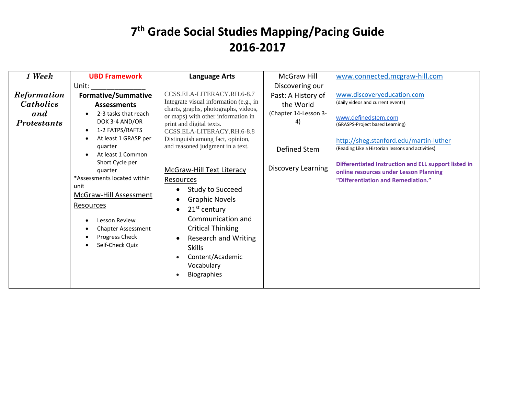| 1 Week<br><b>UBD Framework</b>                                                                                                                                                                                                                                                                                                                                                                                                                     | <b>Language Arts</b>                                                                                                                                                                                                                                                                                                                                                                                                                                                                                                                                                                                     | McGraw Hill                                                                                                 | www.connected.mcgraw-hill.com                                                                                                                                                                                                                                                                                                                                    |
|----------------------------------------------------------------------------------------------------------------------------------------------------------------------------------------------------------------------------------------------------------------------------------------------------------------------------------------------------------------------------------------------------------------------------------------------------|----------------------------------------------------------------------------------------------------------------------------------------------------------------------------------------------------------------------------------------------------------------------------------------------------------------------------------------------------------------------------------------------------------------------------------------------------------------------------------------------------------------------------------------------------------------------------------------------------------|-------------------------------------------------------------------------------------------------------------|------------------------------------------------------------------------------------------------------------------------------------------------------------------------------------------------------------------------------------------------------------------------------------------------------------------------------------------------------------------|
| Unit:                                                                                                                                                                                                                                                                                                                                                                                                                                              |                                                                                                                                                                                                                                                                                                                                                                                                                                                                                                                                                                                                          | Discovering our                                                                                             |                                                                                                                                                                                                                                                                                                                                                                  |
| <b>Formative/Summative</b><br><b>Reformation</b><br><b>Catholics</b><br><b>Assessments</b><br>and<br>2-3 tasks that reach<br>DOK 3-4 AND/OR<br><b>Protestants</b><br>1-2 FATPS/RAFTS<br>At least 1 GRASP per<br>quarter<br>At least 1 Common<br>Short Cycle per<br>quarter<br>*Assessments located within<br>unit<br>McGraw-Hill Assessment<br><b>Resources</b><br>Lesson Review<br><b>Chapter Assessment</b><br>Progress Check<br>Self-Check Quiz | CCSS.ELA-LITERACY.RH.6-8.7<br>Integrate visual information (e.g., in<br>charts, graphs, photographs, videos,<br>or maps) with other information in<br>print and digital texts.<br>CCSS.ELA-LITERACY.RH.6-8.8<br>Distinguish among fact, opinion,<br>and reasoned judgment in a text.<br><b>McGraw-Hill Text Literacy</b><br>Resources<br><b>Study to Succeed</b><br>$\bullet$<br><b>Graphic Novels</b><br>$\bullet$<br>$21st$ century<br>$\bullet$<br>Communication and<br><b>Critical Thinking</b><br>Research and Writing<br>$\bullet$<br><b>Skills</b><br>Content/Academic<br>$\bullet$<br>Vocabulary | Past: A History of<br>the World<br>(Chapter 14-Lesson 3-<br>4)<br>Defined Stem<br><b>Discovery Learning</b> | www.discoveryeducation.com<br>(daily videos and current events)<br>www.definedstem.com<br>(GRASPS-Project based Learning)<br>http://sheg.stanford.edu/martin-luther<br>(Reading Like a Historian lessons and activities)<br>Differentiated Instruction and ELL support listed in<br>online resources under Lesson Planning<br>"Differentiation and Remediation." |
|                                                                                                                                                                                                                                                                                                                                                                                                                                                    | <b>Biographies</b><br>$\bullet$                                                                                                                                                                                                                                                                                                                                                                                                                                                                                                                                                                          |                                                                                                             |                                                                                                                                                                                                                                                                                                                                                                  |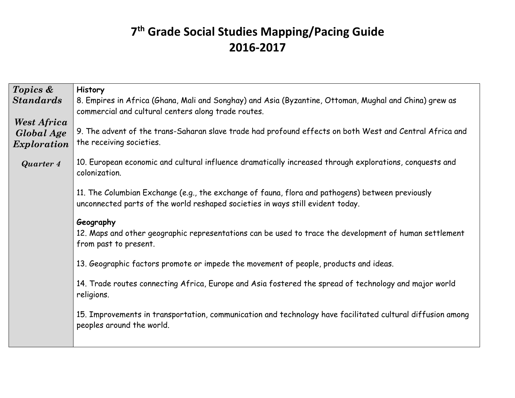| Topics &                                 | <b>History</b>                                                                                                                                                                     |
|------------------------------------------|------------------------------------------------------------------------------------------------------------------------------------------------------------------------------------|
| <b>Standards</b>                         | 8. Empires in Africa (Ghana, Mali and Songhay) and Asia (Byzantine, Ottoman, Mughal and China) grew as<br>commercial and cultural centers along trade routes.                      |
| West Africa<br>Global Age<br>Exploration | 9. The advent of the trans-Saharan slave trade had profound effects on both West and Central Africa and<br>the receiving societies.                                                |
| Quarter 4                                | 10. European economic and cultural influence dramatically increased through explorations, conquests and<br>colonization.                                                           |
|                                          | 11. The Columbian Exchange (e.g., the exchange of fauna, flora and pathogens) between previously<br>unconnected parts of the world reshaped societies in ways still evident today. |
|                                          | Geography<br>12. Maps and other geographic representations can be used to trace the development of human settlement<br>from past to present.                                       |
|                                          | 13. Geographic factors promote or impede the movement of people, products and ideas.                                                                                               |
|                                          | 14. Trade routes connecting Africa, Europe and Asia fostered the spread of technology and major world<br>religions.                                                                |
|                                          | 15. Improvements in transportation, communication and technology have facilitated cultural diffusion among<br>peoples around the world.                                            |
|                                          |                                                                                                                                                                                    |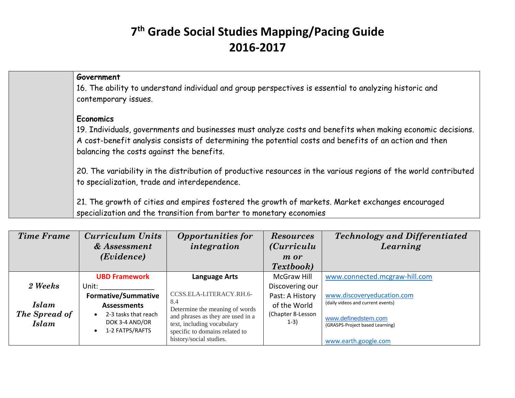| Government<br>16. The ability to understand individual and group perspectives is essential to analyzing historic and<br>contemporary issues.                                                                                                                                           |
|----------------------------------------------------------------------------------------------------------------------------------------------------------------------------------------------------------------------------------------------------------------------------------------|
| <b>Economics</b><br>19. Individuals, governments and businesses must analyze costs and benefits when making economic decisions.<br>A cost-benefit analysis consists of determining the potential costs and benefits of an action and then<br>balancing the costs against the benefits. |
| 20. The variability in the distribution of productive resources in the various regions of the world contributed<br>to specialization, trade and interdependence.                                                                                                                       |
| 21. The growth of cities and empires fostered the growth of markets. Market exchanges encouraged<br>specialization and the transition from barter to monetary economies                                                                                                                |

| <b>Time Frame</b>                             | <b>Curriculum Units</b><br>& Assessment                                                    | <b>Opportunities for</b><br>integration                                                                                             | <b>Resources</b><br><i>(Curriculu)</i>                         | <b>Technology and Differentiated</b><br>Learning                                                                          |
|-----------------------------------------------|--------------------------------------------------------------------------------------------|-------------------------------------------------------------------------------------------------------------------------------------|----------------------------------------------------------------|---------------------------------------------------------------------------------------------------------------------------|
|                                               | ( <i>Evidence</i> )                                                                        |                                                                                                                                     | <i>m</i> or<br>Textbook)                                       |                                                                                                                           |
| 2 Weeks                                       | <b>UBD Framework</b><br>Unit:                                                              | <b>Language Arts</b>                                                                                                                | <b>McGraw Hill</b><br>Discovering our                          | www.connected.mcgraw-hill.com                                                                                             |
| <b>Islam</b><br>The Spread of<br><b>Islam</b> | <b>Formative/Summative</b><br><b>Assessments</b><br>2-3 tasks that reach<br>DOK 3-4 AND/OR | CCSS.ELA-LITERACY.RH.6-<br>8.4<br>Determine the meaning of words<br>and phrases as they are used in a<br>text, including vocabulary | Past: A History<br>of the World<br>(Chapter 8-Lesson<br>$1-3)$ | www.discoveryeducation.com<br>(daily videos and current events)<br>www.definedstem.com<br>(GRASPS-Project based Learning) |
|                                               | 1-2 FATPS/RAFTS                                                                            | specific to domains related to<br>history/social studies.                                                                           |                                                                | www.earth.google.com                                                                                                      |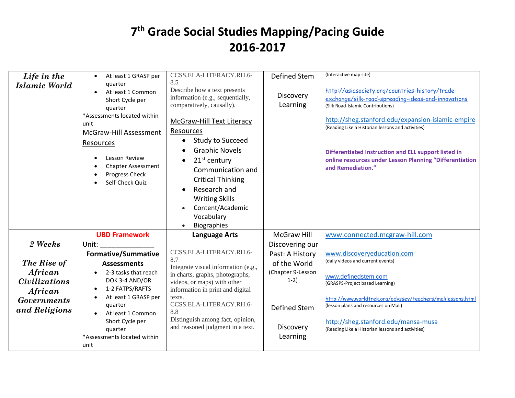| Life in the<br><b>Islamic World</b>        | At least 1 GRASP per<br>quarter                                                                                          | CCSS.ELA-LITERACY.RH.6-<br>8.5                                                                                                                              | Defined Stem                | (Interactive map site)                                                                                                                                                                                                                         |
|--------------------------------------------|--------------------------------------------------------------------------------------------------------------------------|-------------------------------------------------------------------------------------------------------------------------------------------------------------|-----------------------------|------------------------------------------------------------------------------------------------------------------------------------------------------------------------------------------------------------------------------------------------|
|                                            | At least 1 Common<br>Short Cycle per<br>quarter                                                                          | Describe how a text presents<br>information (e.g., sequentially,<br>comparatively, causally).                                                               | Discovery<br>Learning       | http://asiasociety.org/countries-history/trade-<br>exchange/silk-road-spreading-ideas-and-innovations<br>(Silk Road-Islamic Contributions)                                                                                                     |
|                                            | *Assessments located within<br>unit<br>McGraw-Hill Assessment<br>Resources<br>Lesson Review<br><b>Chapter Assessment</b> | McGraw-Hill Text Literacy<br>Resources<br>Study to Succeed<br><b>Graphic Novels</b><br>$21st$ century                                                       |                             | http://sheg.stanford.edu/expansion-islamic-empire<br>(Reading Like a Historian lessons and activities)<br>Differentiated Instruction and ELL support listed in<br>online resources under Lesson Planning "Differentiation<br>and Remediation." |
|                                            | Progress Check<br>Self-Check Quiz                                                                                        | Communication and<br><b>Critical Thinking</b><br>Research and<br><b>Writing Skills</b><br>Content/Academic<br>Vocabulary<br><b>Biographies</b><br>$\bullet$ |                             |                                                                                                                                                                                                                                                |
|                                            | <b>UBD Framework</b>                                                                                                     | <b>Language Arts</b>                                                                                                                                        | McGraw Hill                 | www.connected.mcgraw-hill.com                                                                                                                                                                                                                  |
| 2 Weeks                                    | Unit:                                                                                                                    |                                                                                                                                                             | Discovering our             |                                                                                                                                                                                                                                                |
|                                            | <b>Formative/Summative</b>                                                                                               | CCSS.ELA-LITERACY.RH.6-                                                                                                                                     | Past: A History             | www.discoveryeducation.com                                                                                                                                                                                                                     |
| The Rise of                                | <b>Assessments</b>                                                                                                       | 8.7                                                                                                                                                         | of the World                | (daily videos and current events)                                                                                                                                                                                                              |
| African<br><i>Civilizations</i><br>African | 2-3 tasks that reach<br>DOK 3-4 AND/OR<br>1-2 FATPS/RAFTS<br>$\bullet$                                                   | Integrate visual information (e.g.,<br>in charts, graphs, photographs,<br>videos, or maps) with other<br>information in print and digital                   | (Chapter 9-Lesson<br>$1-2)$ | www.definedstem.com<br>(GRASPS-Project based Learning)                                                                                                                                                                                         |
| <b>Governments</b><br>and Religions        | At least 1 GRASP per<br>quarter<br>At least 1 Common                                                                     | texts.<br>CCSS.ELA-LITERACY.RH.6-<br>8.8                                                                                                                    | Defined Stem                | http://www.worldtrek.org/odyssey/teachers/malilessons.html<br>(lesson plans and resources on Mali)                                                                                                                                             |
|                                            | Short Cycle per<br>quarter<br>*Assessments located within<br>unit                                                        | Distinguish among fact, opinion,<br>and reasoned judgment in a text.                                                                                        | Discovery<br>Learning       | http://sheg.stanford.edu/mansa-musa<br>(Reading Like a Historian lessons and activities)                                                                                                                                                       |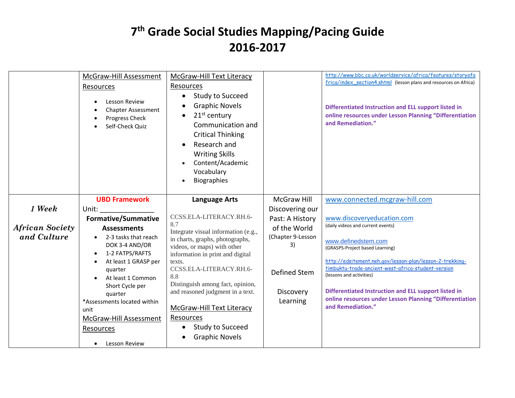|                        | McGraw-Hill Assessment<br>Resources<br>Lesson Review<br><b>Chapter Assessment</b><br>Progress Check<br>Self-Check Quiz    | <b>McGraw-Hill Text Literacy</b><br>Resources<br><b>Study to Succeed</b><br><b>Graphic Novels</b><br>$21st$ century<br>Communication and<br><b>Critical Thinking</b><br>Research and<br><b>Writing Skills</b><br>Content/Academic<br>Vocabulary<br>Biographies |                                         | http://www.bbc.co.uk/worldservice/africa/features/storyofa<br>frica/index_section4.shtml (lesson plans and resources on Africa)<br>Differentiated Instruction and ELL support listed in<br>online resources under Lesson Planning "Differentiation<br>and Remediation." |
|------------------------|---------------------------------------------------------------------------------------------------------------------------|----------------------------------------------------------------------------------------------------------------------------------------------------------------------------------------------------------------------------------------------------------------|-----------------------------------------|-------------------------------------------------------------------------------------------------------------------------------------------------------------------------------------------------------------------------------------------------------------------------|
|                        | <b>UBD Framework</b>                                                                                                      | <b>Language Arts</b>                                                                                                                                                                                                                                           | <b>McGraw Hill</b>                      | www.connected.mcgraw-hill.com                                                                                                                                                                                                                                           |
| 1 Week                 | Unit:<br><b>Formative/Summative</b>                                                                                       | CCSS.ELA-LITERACY.RH.6-                                                                                                                                                                                                                                        | Discovering our                         | www.discoveryeducation.com                                                                                                                                                                                                                                              |
| <b>African Society</b> | <b>Assessments</b>                                                                                                        | 8.7                                                                                                                                                                                                                                                            | Past: A History<br>of the World         | (daily videos and current events)                                                                                                                                                                                                                                       |
| and Culture            | 2-3 tasks that reach<br>DOK 3-4 AND/OR<br>1-2 FATPS/RAFTS<br>At least 1 GRASP per<br>quarter<br>At least 1 Common         | Integrate visual information (e.g.,<br>in charts, graphs, photographs,<br>videos, or maps) with other<br>information in print and digital<br>texts.<br>CCSS.ELA-LITERACY.RH.6-<br>8.8<br>Distinguish among fact, opinion,                                      | (Chapter 9-Lesson<br>3)<br>Defined Stem | www.definedstem.com<br>(GRASPS-Project based Learning)<br>http://edsitement.neh.gov/lesson-plan/lesson-2-trekking-<br>timbuktu-trade-ancient-west-africa-student-version<br>(lessons and activities)                                                                    |
|                        | Short Cycle per<br>quarter<br>*Assessments located within<br>unit<br>McGraw-Hill Assessment<br>Resources<br>Lesson Review | and reasoned judgment in a text.<br>McGraw-Hill Text Literacy<br>Resources<br><b>Study to Succeed</b><br><b>Graphic Novels</b>                                                                                                                                 | Discovery<br>Learning                   | Differentiated Instruction and ELL support listed in<br>online resources under Lesson Planning "Differentiation<br>and Remediation."                                                                                                                                    |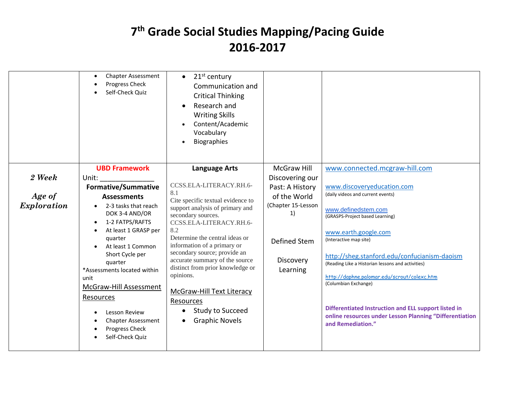|             | <b>Chapter Assessment</b><br>٠<br>Progress Check<br>Self-Check Quiz | 21 <sup>st</sup> century<br>$\bullet$<br>Communication and<br><b>Critical Thinking</b><br>Research and<br>$\bullet$<br><b>Writing Skills</b><br>Content/Academic<br>Vocabulary<br><b>Biographies</b><br>$\bullet$ |                          |                                                                                                   |
|-------------|---------------------------------------------------------------------|-------------------------------------------------------------------------------------------------------------------------------------------------------------------------------------------------------------------|--------------------------|---------------------------------------------------------------------------------------------------|
|             | <b>UBD Framework</b>                                                | <b>Language Arts</b>                                                                                                                                                                                              | <b>McGraw Hill</b>       | www.connected.mcgraw-hill.com                                                                     |
| 2 Week      | Unit:                                                               |                                                                                                                                                                                                                   | Discovering our          |                                                                                                   |
|             | <b>Formative/Summative</b>                                          | CCSS.ELA-LITERACY.RH.6-<br>8.1                                                                                                                                                                                    | Past: A History          | www.discoveryeducation.com                                                                        |
| Age of      | <b>Assessments</b>                                                  | Cite specific textual evidence to                                                                                                                                                                                 | of the World             | (daily videos and current events)                                                                 |
| Exploration | 2-3 tasks that reach<br>DOK 3-4 AND/OR                              | support analysis of primary and                                                                                                                                                                                   | (Chapter 15-Lesson<br>1) | www.definedstem.com                                                                               |
|             | 1-2 FATPS/RAFTS<br>$\bullet$                                        | secondary sources.<br>CCSS.ELA-LITERACY.RH.6-                                                                                                                                                                     |                          | (GRASPS-Project based Learning)                                                                   |
|             | At least 1 GRASP per<br>$\bullet$                                   | 8.2                                                                                                                                                                                                               |                          | www.earth.google.com                                                                              |
|             | quarter                                                             | Determine the central ideas or                                                                                                                                                                                    | Defined Stem             | (Interactive map site)                                                                            |
|             | At least 1 Common                                                   | information of a primary or<br>secondary source; provide an                                                                                                                                                       |                          |                                                                                                   |
|             | Short Cycle per<br>quarter                                          | accurate summary of the source                                                                                                                                                                                    | Discovery                | http://sheg.stanford.edu/confucianism-daoism<br>(Reading Like a Historian lessons and activities) |
|             | *Assessments located within                                         | distinct from prior knowledge or                                                                                                                                                                                  | Learning                 |                                                                                                   |
|             | unit                                                                | opinions.                                                                                                                                                                                                         |                          | http://daphne.palomar.edu/scrout/colexc.htm<br>(Columbian Exchange)                               |
|             | McGraw-Hill Assessment                                              | McGraw-Hill Text Literacy                                                                                                                                                                                         |                          |                                                                                                   |
|             | Resources                                                           | Resources                                                                                                                                                                                                         |                          |                                                                                                   |
|             | <b>Lesson Review</b><br>$\bullet$                                   | <b>Study to Succeed</b>                                                                                                                                                                                           |                          | Differentiated Instruction and ELL support listed in                                              |
|             | <b>Chapter Assessment</b>                                           | <b>Graphic Novels</b><br>$\bullet$                                                                                                                                                                                |                          | online resources under Lesson Planning "Differentiation<br>and Remediation."                      |
|             | Progress Check                                                      |                                                                                                                                                                                                                   |                          |                                                                                                   |
|             | Self-Check Quiz                                                     |                                                                                                                                                                                                                   |                          |                                                                                                   |
|             |                                                                     |                                                                                                                                                                                                                   |                          |                                                                                                   |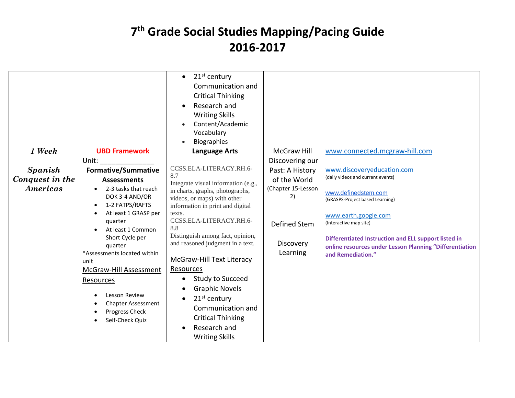|                 |                                                                                                                                                                                             | 21 <sup>st</sup> century<br>$\bullet$<br>Communication and<br><b>Critical Thinking</b><br>Research and<br>$\bullet$<br><b>Writing Skills</b><br>Content/Academic<br>Vocabulary<br>Biographies                          |                                                                          |                                                                                                                                                                                                                                                  |
|-----------------|---------------------------------------------------------------------------------------------------------------------------------------------------------------------------------------------|------------------------------------------------------------------------------------------------------------------------------------------------------------------------------------------------------------------------|--------------------------------------------------------------------------|--------------------------------------------------------------------------------------------------------------------------------------------------------------------------------------------------------------------------------------------------|
| 1 Week          | <b>UBD Framework</b>                                                                                                                                                                        | <b>Language Arts</b>                                                                                                                                                                                                   | <b>McGraw Hill</b>                                                       | www.connected.mcgraw-hill.com                                                                                                                                                                                                                    |
|                 | Unit:                                                                                                                                                                                       |                                                                                                                                                                                                                        | Discovering our                                                          |                                                                                                                                                                                                                                                  |
| <b>Spanish</b>  | <b>Formative/Summative</b>                                                                                                                                                                  | CCSS.ELA-LITERACY.RH.6-<br>8.7                                                                                                                                                                                         | Past: A History                                                          | www.discoveryeducation.com                                                                                                                                                                                                                       |
| Conquest in the | <b>Assessments</b>                                                                                                                                                                          | Integrate visual information (e.g.,                                                                                                                                                                                    | of the World                                                             | (daily videos and current events)                                                                                                                                                                                                                |
| <b>Americas</b> | 2-3 tasks that reach<br>DOK 3-4 AND/OR<br>1-2 FATPS/RAFTS<br>$\bullet$<br>At least 1 GRASP per<br>quarter<br>At least 1 Common<br>Short Cycle per<br>quarter<br>*Assessments located within | in charts, graphs, photographs,<br>videos, or maps) with other<br>information in print and digital<br>texts.<br>CCSS.ELA-LITERACY.RH.6-<br>8.8<br>Distinguish among fact, opinion,<br>and reasoned judgment in a text. | (Chapter 15-Lesson<br>2)<br><b>Defined Stem</b><br>Discovery<br>Learning | www.definedstem.com<br>(GRASPS-Project based Learning)<br>www.earth.google.com<br>(Interactive map site)<br>Differentiated Instruction and ELL support listed in<br>online resources under Lesson Planning "Differentiation<br>and Remediation." |
|                 | unit                                                                                                                                                                                        | <b>McGraw-Hill Text Literacy</b>                                                                                                                                                                                       |                                                                          |                                                                                                                                                                                                                                                  |
|                 | McGraw-Hill Assessment<br>Resources<br>Lesson Review<br><b>Chapter Assessment</b><br>Progress Check<br>Self-Check Quiz                                                                      | Resources<br><b>Study to Succeed</b><br><b>Graphic Novels</b><br>$\bullet$<br>$21st$ century<br>$\bullet$<br>Communication and<br><b>Critical Thinking</b><br>Research and<br><b>Writing Skills</b>                    |                                                                          |                                                                                                                                                                                                                                                  |